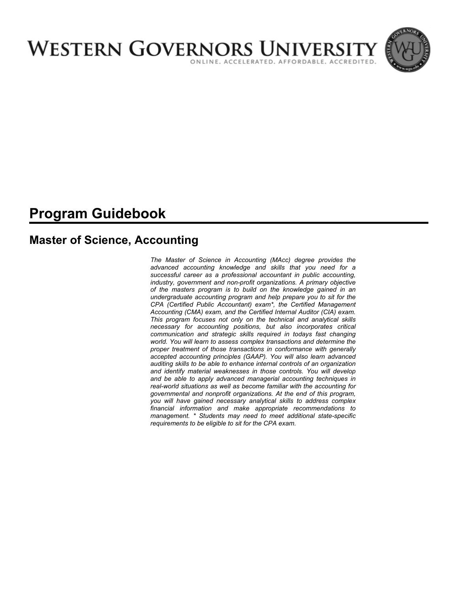

# **Program Guidebook**

# **Master of Science, Accounting**

*The Master of Science in Accounting (MAcc) degree provides the advanced accounting knowledge and skills that you need for a successful career as a professional accountant in public accounting, industry, government and non-profit organizations. A primary objective of the masters program is to build on the knowledge gained in an undergraduate accounting program and help prepare you to sit for the CPA (Certified Public Accountant) exam\*, the Certified Management Accounting (CMA) exam, and the Certified Internal Auditor (CIA) exam. This program focuses not only on the technical and analytical skills necessary for accounting positions, but also incorporates critical communication and strategic skills required in todays fast changing world. You will learn to assess complex transactions and determine the proper treatment of those transactions in conformance with generally accepted accounting principles (GAAP). You will also learn advanced auditing skills to be able to enhance internal controls of an organization and identify material weaknesses in those controls. You will develop and be able to apply advanced managerial accounting techniques in real-world situations as well as become familiar with the accounting for governmental and nonprofit organizations. At the end of this program, you will have gained necessary analytical skills to address complex financial information and make appropriate recommendations to management. \* Students may need to meet additional state-specific requirements to be eligible to sit for the CPA exam.*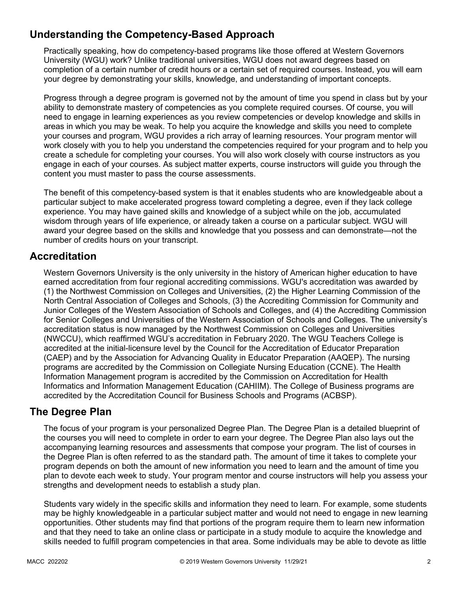# **Understanding the Competency-Based Approach**

Practically speaking, how do competency-based programs like those offered at Western Governors University (WGU) work? Unlike traditional universities, WGU does not award degrees based on completion of a certain number of credit hours or a certain set of required courses. Instead, you will earn your degree by demonstrating your skills, knowledge, and understanding of important concepts.

Progress through a degree program is governed not by the amount of time you spend in class but by your ability to demonstrate mastery of competencies as you complete required courses. Of course, you will need to engage in learning experiences as you review competencies or develop knowledge and skills in areas in which you may be weak. To help you acquire the knowledge and skills you need to complete your courses and program, WGU provides a rich array of learning resources. Your program mentor will work closely with you to help you understand the competencies required for your program and to help you create a schedule for completing your courses. You will also work closely with course instructors as you engage in each of your courses. As subject matter experts, course instructors will guide you through the content you must master to pass the course assessments.

The benefit of this competency-based system is that it enables students who are knowledgeable about a particular subject to make accelerated progress toward completing a degree, even if they lack college experience. You may have gained skills and knowledge of a subject while on the job, accumulated wisdom through years of life experience, or already taken a course on a particular subject. WGU will award your degree based on the skills and knowledge that you possess and can demonstrate—not the number of credits hours on your transcript.

### **Accreditation**

Western Governors University is the only university in the history of American higher education to have earned accreditation from four regional accrediting commissions. WGU's accreditation was awarded by (1) the Northwest Commission on Colleges and Universities, (2) the Higher Learning Commission of the North Central Association of Colleges and Schools, (3) the Accrediting Commission for Community and Junior Colleges of the Western Association of Schools and Colleges, and (4) the Accrediting Commission for Senior Colleges and Universities of the Western Association of Schools and Colleges. The university's accreditation status is now managed by the Northwest Commission on Colleges and Universities (NWCCU), which reaffirmed WGU's accreditation in February 2020. The WGU Teachers College is accredited at the initial-licensure level by the Council for the Accreditation of Educator Preparation (CAEP) and by the Association for Advancing Quality in Educator Preparation (AAQEP). The nursing programs are accredited by the Commission on Collegiate Nursing Education (CCNE). The Health Information Management program is accredited by the Commission on Accreditation for Health Informatics and Information Management Education (CAHIIM). The College of Business programs are accredited by the Accreditation Council for Business Schools and Programs (ACBSP).

### **The Degree Plan**

The focus of your program is your personalized Degree Plan. The Degree Plan is a detailed blueprint of the courses you will need to complete in order to earn your degree. The Degree Plan also lays out the accompanying learning resources and assessments that compose your program. The list of courses in the Degree Plan is often referred to as the standard path. The amount of time it takes to complete your program depends on both the amount of new information you need to learn and the amount of time you plan to devote each week to study. Your program mentor and course instructors will help you assess your strengths and development needs to establish a study plan.

Students vary widely in the specific skills and information they need to learn. For example, some students may be highly knowledgeable in a particular subject matter and would not need to engage in new learning opportunities. Other students may find that portions of the program require them to learn new information and that they need to take an online class or participate in a study module to acquire the knowledge and skills needed to fulfill program competencies in that area. Some individuals may be able to devote as little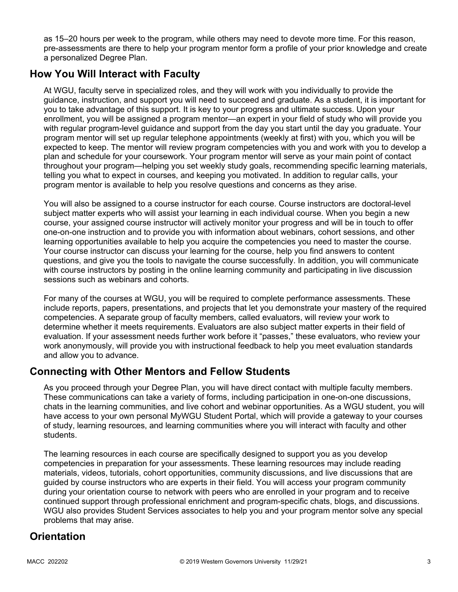as 15–20 hours per week to the program, while others may need to devote more time. For this reason, pre-assessments are there to help your program mentor form a profile of your prior knowledge and create a personalized Degree Plan.

### **How You Will Interact with Faculty**

At WGU, faculty serve in specialized roles, and they will work with you individually to provide the guidance, instruction, and support you will need to succeed and graduate. As a student, it is important for you to take advantage of this support. It is key to your progress and ultimate success. Upon your enrollment, you will be assigned a program mentor—an expert in your field of study who will provide you with regular program-level guidance and support from the day you start until the day you graduate. Your program mentor will set up regular telephone appointments (weekly at first) with you, which you will be expected to keep. The mentor will review program competencies with you and work with you to develop a plan and schedule for your coursework. Your program mentor will serve as your main point of contact throughout your program—helping you set weekly study goals, recommending specific learning materials, telling you what to expect in courses, and keeping you motivated. In addition to regular calls, your program mentor is available to help you resolve questions and concerns as they arise.

You will also be assigned to a course instructor for each course. Course instructors are doctoral-level subject matter experts who will assist your learning in each individual course. When you begin a new course, your assigned course instructor will actively monitor your progress and will be in touch to offer one-on-one instruction and to provide you with information about webinars, cohort sessions, and other learning opportunities available to help you acquire the competencies you need to master the course. Your course instructor can discuss your learning for the course, help you find answers to content questions, and give you the tools to navigate the course successfully. In addition, you will communicate with course instructors by posting in the online learning community and participating in live discussion sessions such as webinars and cohorts.

For many of the courses at WGU, you will be required to complete performance assessments. These include reports, papers, presentations, and projects that let you demonstrate your mastery of the required competencies. A separate group of faculty members, called evaluators, will review your work to determine whether it meets requirements. Evaluators are also subject matter experts in their field of evaluation. If your assessment needs further work before it "passes," these evaluators, who review your work anonymously, will provide you with instructional feedback to help you meet evaluation standards and allow you to advance.

### **Connecting with Other Mentors and Fellow Students**

As you proceed through your Degree Plan, you will have direct contact with multiple faculty members. These communications can take a variety of forms, including participation in one-on-one discussions, chats in the learning communities, and live cohort and webinar opportunities. As a WGU student, you will have access to your own personal MyWGU Student Portal, which will provide a gateway to your courses of study, learning resources, and learning communities where you will interact with faculty and other students.

The learning resources in each course are specifically designed to support you as you develop competencies in preparation for your assessments. These learning resources may include reading materials, videos, tutorials, cohort opportunities, community discussions, and live discussions that are guided by course instructors who are experts in their field. You will access your program community during your orientation course to network with peers who are enrolled in your program and to receive continued support through professional enrichment and program-specific chats, blogs, and discussions. WGU also provides Student Services associates to help you and your program mentor solve any special problems that may arise.

### **Orientation**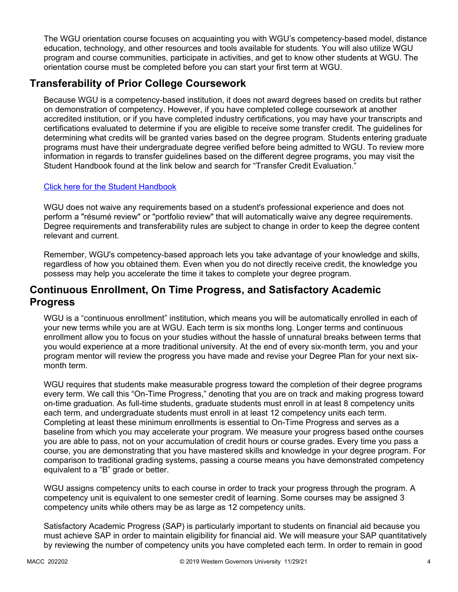The WGU orientation course focuses on acquainting you with WGU's competency-based model, distance education, technology, and other resources and tools available for students. You will also utilize WGU program and course communities, participate in activities, and get to know other students at WGU. The orientation course must be completed before you can start your first term at WGU.

## **Transferability of Prior College Coursework**

Because WGU is a competency-based institution, it does not award degrees based on credits but rather on demonstration of competency. However, if you have completed college coursework at another accredited institution, or if you have completed industry certifications, you may have your transcripts and certifications evaluated to determine if you are eligible to receive some transfer credit. The guidelines for determining what credits will be granted varies based on the degree program. Students entering graduate programs must have their undergraduate degree verified before being admitted to WGU. To review more information in regards to transfer guidelines based on the different degree programs, you may visit the Student Handbook found at the link below and search for "Transfer Credit Evaluation."

### [Click here for the Student Handbook](http://cm.wgu.edu/)

WGU does not waive any requirements based on a student's professional experience and does not perform a "résumé review" or "portfolio review" that will automatically waive any degree requirements. Degree requirements and transferability rules are subject to change in order to keep the degree content relevant and current.

Remember, WGU's competency-based approach lets you take advantage of your knowledge and skills, regardless of how you obtained them. Even when you do not directly receive credit, the knowledge you possess may help you accelerate the time it takes to complete your degree program.

### **Continuous Enrollment, On Time Progress, and Satisfactory Academic Progress**

WGU is a "continuous enrollment" institution, which means you will be automatically enrolled in each of your new terms while you are at WGU. Each term is six months long. Longer terms and continuous enrollment allow you to focus on your studies without the hassle of unnatural breaks between terms that you would experience at a more traditional university. At the end of every six-month term, you and your program mentor will review the progress you have made and revise your Degree Plan for your next sixmonth term.

WGU requires that students make measurable progress toward the completion of their degree programs every term. We call this "On-Time Progress," denoting that you are on track and making progress toward on-time graduation. As full-time students, graduate students must enroll in at least 8 competency units each term, and undergraduate students must enroll in at least 12 competency units each term. Completing at least these minimum enrollments is essential to On-Time Progress and serves as a baseline from which you may accelerate your program. We measure your progress based onthe courses you are able to pass, not on your accumulation of credit hours or course grades. Every time you pass a course, you are demonstrating that you have mastered skills and knowledge in your degree program. For comparison to traditional grading systems, passing a course means you have demonstrated competency equivalent to a "B" grade or better.

WGU assigns competency units to each course in order to track your progress through the program. A competency unit is equivalent to one semester credit of learning. Some courses may be assigned 3 competency units while others may be as large as 12 competency units.

Satisfactory Academic Progress (SAP) is particularly important to students on financial aid because you must achieve SAP in order to maintain eligibility for financial aid. We will measure your SAP quantitatively by reviewing the number of competency units you have completed each term. In order to remain in good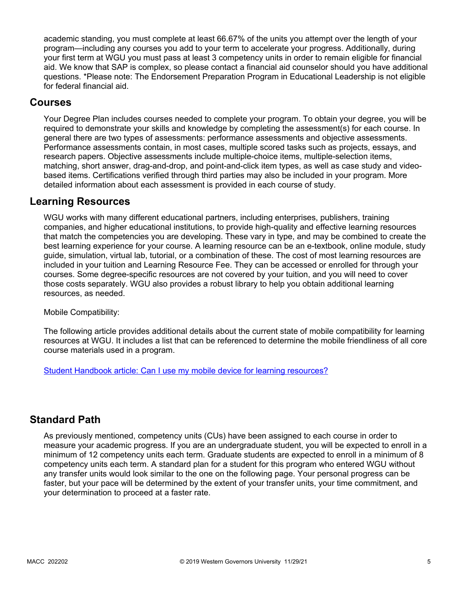academic standing, you must complete at least 66.67% of the units you attempt over the length of your program—including any courses you add to your term to accelerate your progress. Additionally, during your first term at WGU you must pass at least 3 competency units in order to remain eligible for financial aid. We know that SAP is complex, so please contact a financial aid counselor should you have additional questions. \*Please note: The Endorsement Preparation Program in Educational Leadership is not eligible for federal financial aid.

### **Courses**

Your Degree Plan includes courses needed to complete your program. To obtain your degree, you will be required to demonstrate your skills and knowledge by completing the assessment(s) for each course. In general there are two types of assessments: performance assessments and objective assessments. Performance assessments contain, in most cases, multiple scored tasks such as projects, essays, and research papers. Objective assessments include multiple-choice items, multiple-selection items, matching, short answer, drag-and-drop, and point-and-click item types, as well as case study and videobased items. Certifications verified through third parties may also be included in your program. More detailed information about each assessment is provided in each course of study.

### **Learning Resources**

WGU works with many different educational partners, including enterprises, publishers, training companies, and higher educational institutions, to provide high-quality and effective learning resources that match the competencies you are developing. These vary in type, and may be combined to create the best learning experience for your course. A learning resource can be an e-textbook, online module, study guide, simulation, virtual lab, tutorial, or a combination of these. The cost of most learning resources are included in your tuition and Learning Resource Fee. They can be accessed or enrolled for through your courses. Some degree-specific resources are not covered by your tuition, and you will need to cover those costs separately. WGU also provides a robust library to help you obtain additional learning resources, as needed.

Mobile Compatibility:

The following article provides additional details about the current state of mobile compatibility for learning resources at WGU. It includes a list that can be referenced to determine the mobile friendliness of all core course materials used in a program.

[Student Handbook article: Can I use my mobile device for learning resources?](https://cm.wgu.edu/t5/Frequently-Asked-Questions/Can-I-use-my-mobile-device-for-learning-resources/ta-p/396)

### **Standard Path**

As previously mentioned, competency units (CUs) have been assigned to each course in order to measure your academic progress. If you are an undergraduate student, you will be expected to enroll in a minimum of 12 competency units each term. Graduate students are expected to enroll in a minimum of 8 competency units each term. A standard plan for a student for this program who entered WGU without any transfer units would look similar to the one on the following page. Your personal progress can be faster, but your pace will be determined by the extent of your transfer units, your time commitment, and your determination to proceed at a faster rate.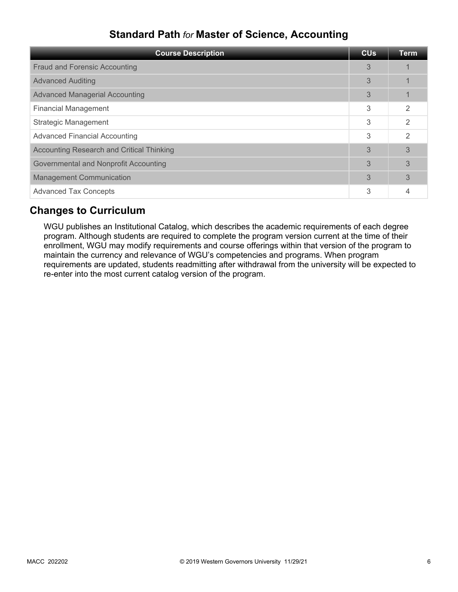## **Standard Path** *for* **Master of Science, Accounting**

| <b>Course Description</b>                        | <b>CU<sub>s</sub></b> | <b>Term</b>    |
|--------------------------------------------------|-----------------------|----------------|
| <b>Fraud and Forensic Accounting</b>             | 3                     |                |
| <b>Advanced Auditing</b>                         | 3                     |                |
| <b>Advanced Managerial Accounting</b>            | 3                     |                |
| <b>Financial Management</b>                      | 3                     | 2              |
| <b>Strategic Management</b>                      | 3                     | $\mathfrak{D}$ |
| <b>Advanced Financial Accounting</b>             | 3                     | $\mathfrak{D}$ |
| <b>Accounting Research and Critical Thinking</b> | 3                     | 3              |
| Governmental and Nonprofit Accounting            | 3                     | 3              |
| <b>Management Communication</b>                  | 3                     | 3              |
| <b>Advanced Tax Concepts</b>                     | 3                     |                |

### **Changes to Curriculum**

WGU publishes an Institutional Catalog, which describes the academic requirements of each degree program. Although students are required to complete the program version current at the time of their enrollment, WGU may modify requirements and course offerings within that version of the program to maintain the currency and relevance of WGU's competencies and programs. When program requirements are updated, students readmitting after withdrawal from the university will be expected to re-enter into the most current catalog version of the program.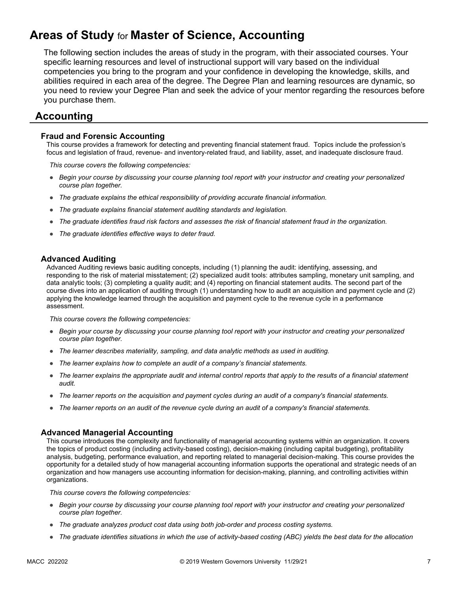# **Areas of Study** for **Master of Science, Accounting**

The following section includes the areas of study in the program, with their associated courses. Your specific learning resources and level of instructional support will vary based on the individual competencies you bring to the program and your confidence in developing the knowledge, skills, and abilities required in each area of the degree. The Degree Plan and learning resources are dynamic, so you need to review your Degree Plan and seek the advice of your mentor regarding the resources before you purchase them.

### **Accounting**

#### **Fraud and Forensic Accounting**

This course provides a framework for detecting and preventing financial statement fraud. Topics include the profession's focus and legislation of fraud, revenue- and inventory-related fraud, and liability, asset, and inadequate disclosure fraud.

*This course covers the following competencies:*

- *Begin your course by discussing your course planning tool report with your instructor and creating your personalized course plan together.*
- *The graduate explains the ethical responsibility of providing accurate financial information.*
- *The graduate explains financial statement auditing standards and legislation.*
- *The graduate identifies fraud risk factors and assesses the risk of financial statement fraud in the organization.*
- *The graduate identifies effective ways to deter fraud.*

#### **Advanced Auditing**

Advanced Auditing reviews basic auditing concepts, including (1) planning the audit: identifying, assessing, and responding to the risk of material misstatement; (2) specialized audit tools: attributes sampling, monetary unit sampling, and data analytic tools; (3) completing a quality audit; and (4) reporting on financial statement audits. The second part of the course dives into an application of auditing through (1) understanding how to audit an acquisition and payment cycle and (2) applying the knowledge learned through the acquisition and payment cycle to the revenue cycle in a performance assessment.

*This course covers the following competencies:*

- *Begin your course by discussing your course planning tool report with your instructor and creating your personalized course plan together.*
- *The learner describes materiality, sampling, and data analytic methods as used in auditing.*
- *The learner explains how to complete an audit of a company's financial statements.*
- *The learner explains the appropriate audit and internal control reports that apply to the results of a financial statement audit.*
- *The learner reports on the acquisition and payment cycles during an audit of a company's financial statements.*
- *The learner reports on an audit of the revenue cycle during an audit of a company's financial statements.*

#### **Advanced Managerial Accounting**

This course introduces the complexity and functionality of managerial accounting systems within an organization. It covers the topics of product costing (including activity-based costing), decision-making (including capital budgeting), profitability analysis, budgeting, performance evaluation, and reporting related to managerial decision-making. This course provides the opportunity for a detailed study of how managerial accounting information supports the operational and strategic needs of an organization and how managers use accounting information for decision-making, planning, and controlling activities within organizations.

*This course covers the following competencies:*

- *Begin your course by discussing your course planning tool report with your instructor and creating your personalized course plan together.*
- *The graduate analyzes product cost data using both job-order and process costing systems.*
- *The graduate identifies situations in which the use of activity-based costing (ABC) yields the best data for the allocation*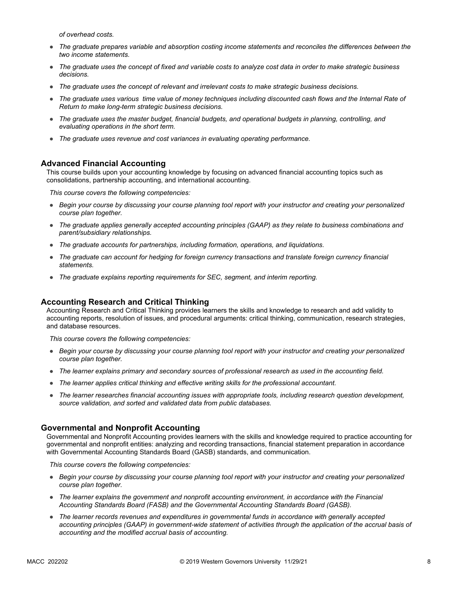*of overhead costs.* 

- *The graduate prepares variable and absorption costing income statements and reconciles the differences between the two income statements.*
- *The graduate uses the concept of fixed and variable costs to analyze cost data in order to make strategic business decisions.*
- *The graduate uses the concept of relevant and irrelevant costs to make strategic business decisions.*
- *The graduate uses various time value of money techniques including discounted cash flows and the Internal Rate of Return to make long-term strategic business decisions.*
- *The graduate uses the master budget, financial budgets, and operational budgets in planning, controlling, and evaluating operations in the short term.*
- *The graduate uses revenue and cost variances in evaluating operating performance.*

#### **Advanced Financial Accounting**

This course builds upon your accounting knowledge by focusing on advanced financial accounting topics such as consolidations, partnership accounting, and international accounting.

*This course covers the following competencies:*

- *Begin your course by discussing your course planning tool report with your instructor and creating your personalized course plan together.*
- *The graduate applies generally accepted accounting principles (GAAP) as they relate to business combinations and parent/subsidiary relationships.*
- *The graduate accounts for partnerships, including formation, operations, and liquidations.*
- *The graduate can account for hedging for foreign currency transactions and translate foreign currency financial statements.*
- *The graduate explains reporting requirements for SEC, segment, and interim reporting.*

#### **Accounting Research and Critical Thinking**

Accounting Research and Critical Thinking provides learners the skills and knowledge to research and add validity to accounting reports, resolution of issues, and procedural arguments: critical thinking, communication, research strategies, and database resources.

*This course covers the following competencies:*

- *Begin your course by discussing your course planning tool report with your instructor and creating your personalized course plan together.*
- *The learner explains primary and secondary sources of professional research as used in the accounting field.*
- *The learner applies critical thinking and effective writing skills for the professional accountant.*
- *The learner researches financial accounting issues with appropriate tools, including research question development, source validation, and sorted and validated data from public databases.*

#### **Governmental and Nonprofit Accounting**

Governmental and Nonprofit Accounting provides learners with the skills and knowledge required to practice accounting for governmental and nonprofit entities: analyzing and recording transactions, financial statement preparation in accordance with Governmental Accounting Standards Board (GASB) standards, and communication.

*This course covers the following competencies:*

- *Begin your course by discussing your course planning tool report with your instructor and creating your personalized course plan together.*
- *The learner explains the government and nonprofit accounting environment, in accordance with the Financial Accounting Standards Board (FASB) and the Governmental Accounting Standards Board (GASB).*
- *The learner records revenues and expenditures in governmental funds in accordance with generally accepted*  accounting principles (GAAP) in government-wide statement of activities through the application of the accrual basis of *accounting and the modified accrual basis of accounting.*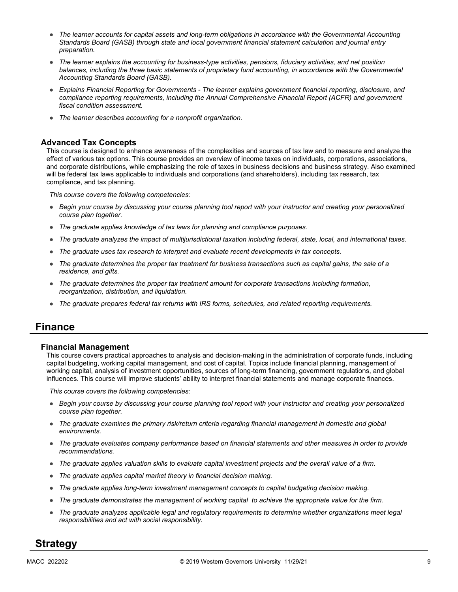- *The learner accounts for capital assets and long-term obligations in accordance with the Governmental Accounting Standards Board (GASB) through state and local government financial statement calculation and journal entry preparation.*
- *The learner explains the accounting for business-type activities, pensions, fiduciary activities, and net position*  balances, including the three basic statements of proprietary fund accounting, in accordance with the Governmental *Accounting Standards Board (GASB).*
- *Explains Financial Reporting for Governments The learner explains government financial reporting, disclosure, and compliance reporting requirements, including the Annual Comprehensive Financial Report (ACFR) and government fiscal condition assessment.*
- *The learner describes accounting for a nonprofit organization.*

#### **Advanced Tax Concepts**

This course is designed to enhance awareness of the complexities and sources of tax law and to measure and analyze the effect of various tax options. This course provides an overview of income taxes on individuals, corporations, associations, and corporate distributions, while emphasizing the role of taxes in business decisions and business strategy. Also examined will be federal tax laws applicable to individuals and corporations (and shareholders), including tax research, tax compliance, and tax planning.

*This course covers the following competencies:*

- *Begin your course by discussing your course planning tool report with your instructor and creating your personalized course plan together.*
- *The graduate applies knowledge of tax laws for planning and compliance purposes.*
- *The graduate analyzes the impact of multijurisdictional taxation including federal, state, local, and international taxes.*
- *The graduate uses tax research to interpret and evaluate recent developments in tax concepts.*
- *The graduate determines the proper tax treatment for business transactions such as capital gains, the sale of a residence, and gifts.*
- *The graduate determines the proper tax treatment amount for corporate transactions including formation, reorganization, distribution, and liquidation.*
- *The graduate prepares federal tax returns with IRS forms, schedules, and related reporting requirements.*

### **Finance**

#### **Financial Management**

This course covers practical approaches to analysis and decision-making in the administration of corporate funds, including capital budgeting, working capital management, and cost of capital. Topics include financial planning, management of working capital, analysis of investment opportunities, sources of long-term financing, government regulations, and global influences. This course will improve students' ability to interpret financial statements and manage corporate finances.

*This course covers the following competencies:*

- *Begin your course by discussing your course planning tool report with your instructor and creating your personalized course plan together.*
- *The graduate examines the primary risk/return criteria regarding financial management in domestic and global environments.*
- *The graduate evaluates company performance based on financial statements and other measures in order to provide recommendations.*
- *The graduate applies valuation skills to evaluate capital investment projects and the overall value of a firm.*
- *The graduate applies capital market theory in financial decision making.*
- *The graduate applies long-term investment management concepts to capital budgeting decision making.*
- *The graduate demonstrates the management of working capital to achieve the appropriate value for the firm.*
- *The graduate analyzes applicable legal and regulatory requirements to determine whether organizations meet legal responsibilities and act with social responsibility.*

### **Strategy**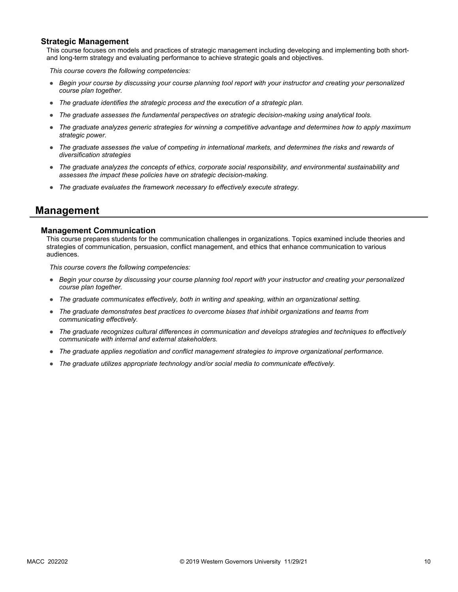#### **Strategic Management**

This course focuses on models and practices of strategic management including developing and implementing both shortand long-term strategy and evaluating performance to achieve strategic goals and objectives.

*This course covers the following competencies:*

- *Begin your course by discussing your course planning tool report with your instructor and creating your personalized course plan together.*
- *The graduate identifies the strategic process and the execution of a strategic plan.*
- *The graduate assesses the fundamental perspectives on strategic decision-making using analytical tools.*
- *The graduate analyzes generic strategies for winning a competitive advantage and determines how to apply maximum strategic power.*
- *The graduate assesses the value of competing in international markets, and determines the risks and rewards of diversification strategies*
- *The graduate analyzes the concepts of ethics, corporate social responsibility, and environmental sustainability and assesses the impact these policies have on strategic decision-making.*
- *The graduate evaluates the framework necessary to effectively execute strategy.*

### **Management**

#### **Management Communication**

This course prepares students for the communication challenges in organizations. Topics examined include theories and strategies of communication, persuasion, conflict management, and ethics that enhance communication to various audiences.

*This course covers the following competencies:*

- *Begin your course by discussing your course planning tool report with your instructor and creating your personalized course plan together.*
- *The graduate communicates effectively, both in writing and speaking, within an organizational setting.*
- *The graduate demonstrates best practices to overcome biases that inhibit organizations and teams from communicating effectively.*
- *The graduate recognizes cultural differences in communication and develops strategies and techniques to effectively communicate with internal and external stakeholders.*
- *The graduate applies negotiation and conflict management strategies to improve organizational performance.*
- *The graduate utilizes appropriate technology and/or social media to communicate effectively.*